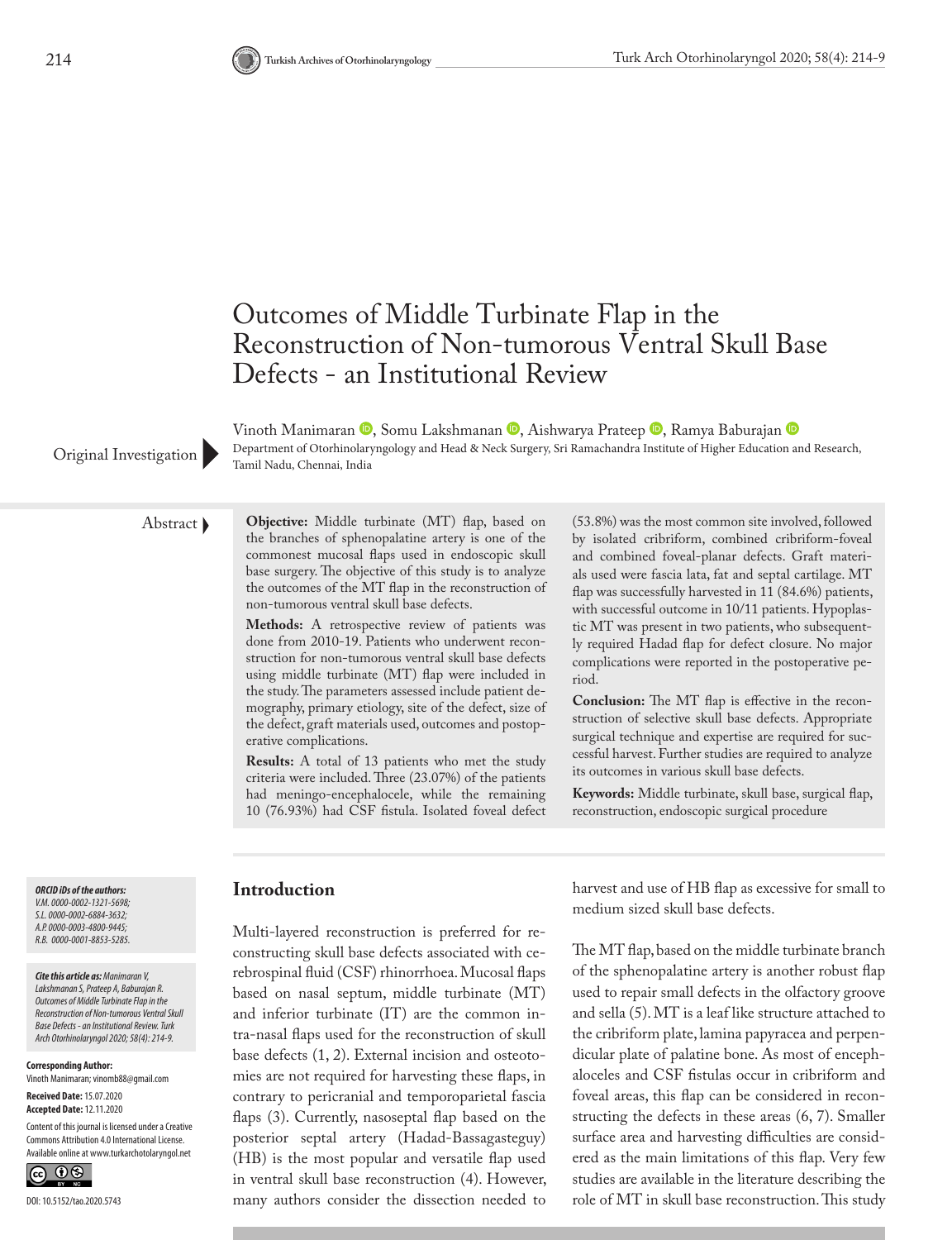

VinothManimaran <sup>®</sup>, Somu Lakshmanan ®, Aishwarya Prateep ®, Ramya Baburajan ® Department of Otorhinolaryngology and Head & Neck Surgery, Sri Ramachandra Institute of Higher Education and Research, Original Investigation Pepartment of Otorninolary

Abstract **Objective:** Middle turbinate (MT) flap, based on the branches of sphenopalatine artery is one of the commonest mucosal flaps used in endoscopic skull base surgery. The objective of this study is to analyze the outcomes of the MT flap in the reconstruction of non-tumorous ventral skull base defects.

> **Methods:** A retrospective review of patients was done from 2010-19. Patients who underwent reconstruction for non-tumorous ventral skull base defects using middle turbinate (MT) flap were included in the study. The parameters assessed include patient demography, primary etiology, site of the defect, size of the defect, graft materials used, outcomes and postoperative complications.

> **Results:** A total of 13 patients who met the study criteria were included. Three (23.07%) of the patients had meningo-encephalocele, while the remaining 10 (76.93%) had CSF fistula. Isolated foveal defect

(53.8%) was the most common site involved, followed by isolated cribriform, combined cribriform-foveal and combined foveal-planar defects. Graft materials used were fascia lata, fat and septal cartilage. MT flap was successfully harvested in 11 (84.6%) patients, with successful outcome in 10/11 patients. Hypoplastic MT was present in two patients, who subsequently required Hadad flap for defect closure. No major complications were reported in the postoperative period.

**Conclusion:** The MT flap is effective in the reconstruction of selective skull base defects. Appropriate surgical technique and expertise are required for successful harvest. Further studies are required to analyze its outcomes in various skull base defects.

**Keywords:** Middle turbinate, skull base, surgical flap, reconstruction, endoscopic surgical procedure

*ORCID iDs of the authors: V.M. 0000-0002-1321-5698; S.L. 0000-0002-6884-3632; A.P. 0000-0003-4800-9445; R.B. 0000-0001-8853-5285.*

*Cite this article as: Manimaran V, Lakshmanan S, Prateep A, Baburajan R. Outcomes of Middle Turbinate Flap in the Reconstruction of Non-tumorous Ventral Skull Base Defects - an Institutional Review. Turk Arch Otorhinolaryngol 2020; 58(4): 214-9.*

**Corresponding Author:**  Vinoth Manimaran; vinomb88@gmail.com

**Received Date:** 15.07.2020 **Accepted Date:** 12.11.2020

Content of this journal is licensed under a Creative Commons Attribution 4.0 International License. Available online at www.turkarchotolaryngol.net



#### **Introduction**

Multi-layered reconstruction is preferred for reconstructing skull base defects associated with cerebrospinal fluid (CSF) rhinorrhoea. Mucosal flaps based on nasal septum, middle turbinate (MT) and inferior turbinate (IT) are the common intra-nasal flaps used for the reconstruction of skull base defects (1, 2). External incision and osteotomies are not required for harvesting these flaps, in contrary to pericranial and temporoparietal fascia flaps (3). Currently, nasoseptal flap based on the posterior septal artery (Hadad-Bassagasteguy) (HB) is the most popular and versatile flap used in ventral skull base reconstruction (4). However, many authors consider the dissection needed to

harvest and use of HB flap as excessive for small to medium sized skull base defects.

The MT flap, based on the middle turbinate branch of the sphenopalatine artery is another robust flap used to repair small defects in the olfactory groove and sella (5). MT is a leaf like structure attached to the cribriform plate, lamina papyracea and perpendicular plate of palatine bone. As most of encephaloceles and CSF fistulas occur in cribriform and foveal areas, this flap can be considered in reconstructing the defects in these areas (6, 7). Smaller surface area and harvesting difficulties are considered as the main limitations of this flap. Very few studies are available in the literature describing the role of MT in skull base reconstruction. This study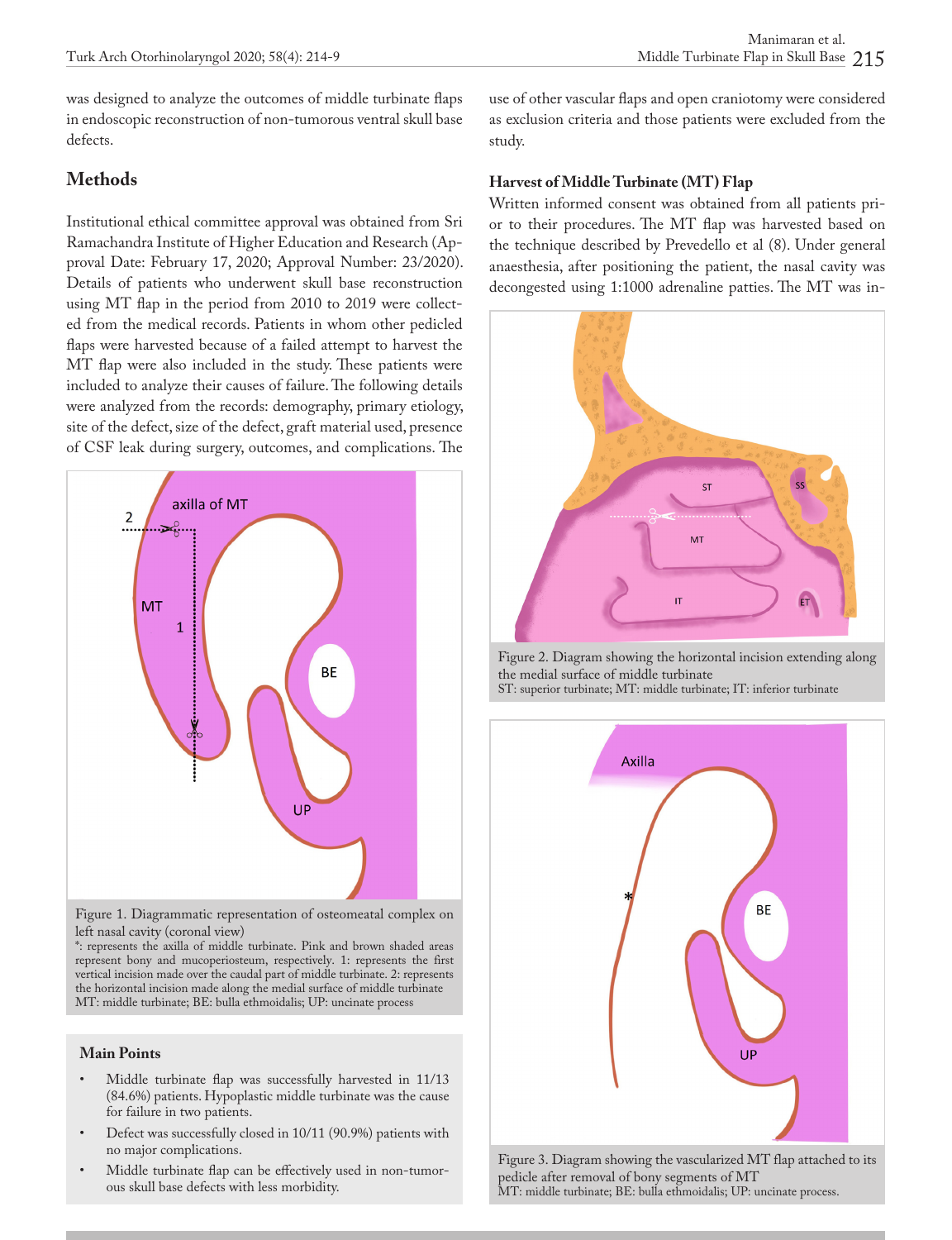was designed to analyze the outcomes of middle turbinate flaps in endoscopic reconstruction of non-tumorous ventral skull base defects.

### **Methods**

Institutional ethical committee approval was obtained from Sri Ramachandra Institute of Higher Education and Research (Approval Date: February 17, 2020; Approval Number: 23/2020). Details of patients who underwent skull base reconstruction using MT flap in the period from 2010 to 2019 were collected from the medical records. Patients in whom other pedicled flaps were harvested because of a failed attempt to harvest the MT flap were also included in the study. These patients were included to analyze their causes of failure. The following details were analyzed from the records: demography, primary etiology, site of the defect, size of the defect, graft material used, presence of CSF leak during surgery, outcomes, and complications. The



Figure 1. Diagrammatic representation of osteomeatal complex on left nasal cavity (coronal view)

\*: represents the axilla of middle turbinate. Pink and brown shaded areas represent bony and mucoperiosteum, respectively. 1: represents the first vertical incision made over the caudal part of middle turbinate. 2: represents the horizontal incision made along the medial surface of middle turbinate MT: middle turbinate; BE: bulla ethmoidalis; UP: uncinate process

#### **Main Points**

- Middle turbinate flap was successfully harvested in 11/13 (84.6%) patients. Hypoplastic middle turbinate was the cause for failure in two patients.
- Defect was successfully closed in 10/11 (90.9%) patients with no major complications.
- Middle turbinate flap can be effectively used in non-tumorous skull base defects with less morbidity.

use of other vascular flaps and open craniotomy were considered as exclusion criteria and those patients were excluded from the study.

#### **Harvest of Middle Turbinate (MT) Flap**

Written informed consent was obtained from all patients prior to their procedures. The MT flap was harvested based on the technique described by Prevedello et al (8). Under general anaesthesia, after positioning the patient, the nasal cavity was decongested using 1:1000 adrenaline patties. The MT was in-



Figure 2. Diagram showing the horizontal incision extending along the medial surface of middle turbinate ST: superior turbinate; MT: middle turbinate; IT: inferior turbinate



Figure 3. Diagram showing the vascularized MT flap attached to its pedicle after removal of bony segments of MT MT: middle turbinate; BE: bulla ethmoidalis; UP: uncinate process.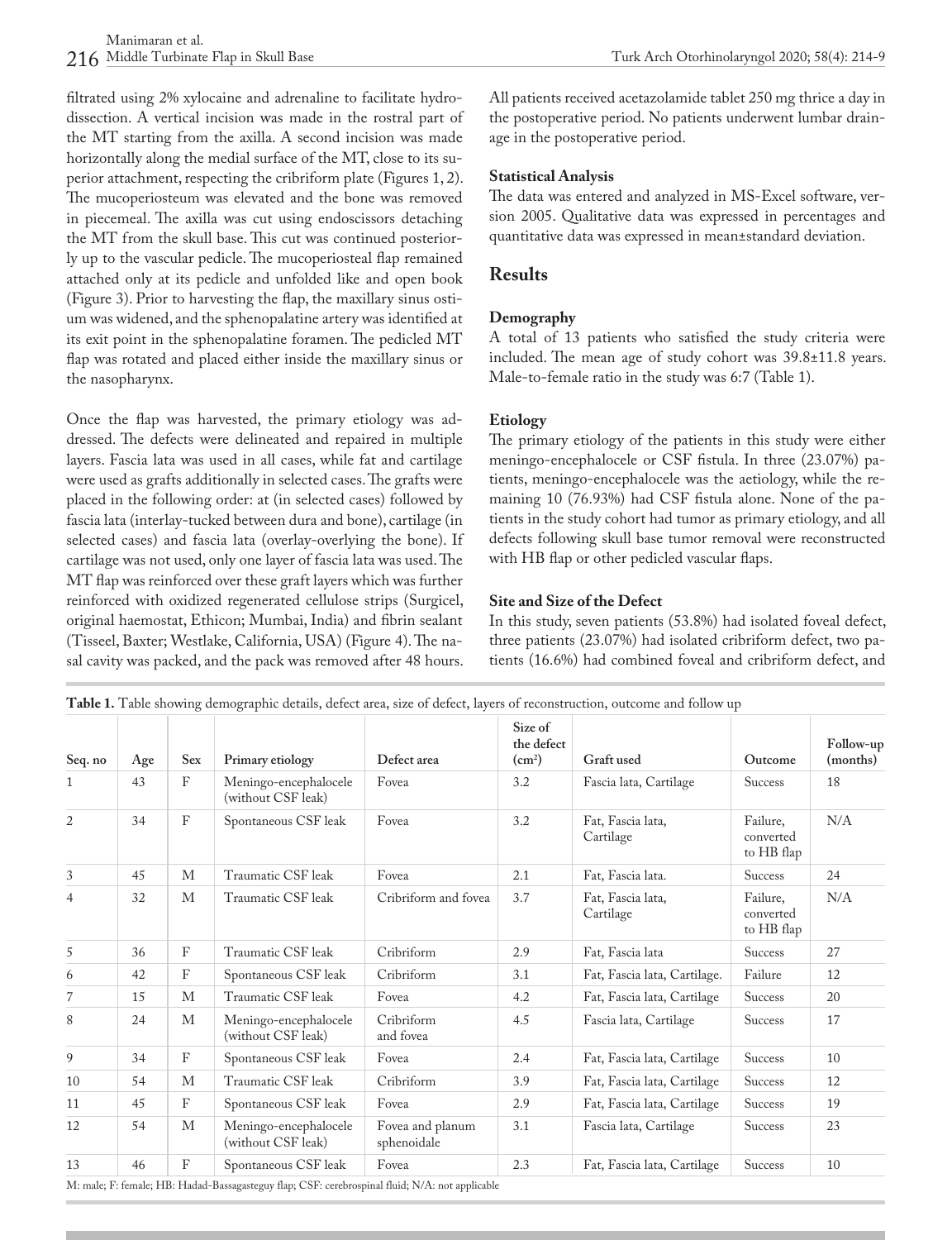filtrated using 2% xylocaine and adrenaline to facilitate hydrodissection. A vertical incision was made in the rostral part of the MT starting from the axilla. A second incision was made horizontally along the medial surface of the MT, close to its superior attachment, respecting the cribriform plate (Figures 1, 2). The mucoperiosteum was elevated and the bone was removed in piecemeal. The axilla was cut using endoscissors detaching the MT from the skull base. This cut was continued posteriorly up to the vascular pedicle. The mucoperiosteal flap remained attached only at its pedicle and unfolded like and open book (Figure 3). Prior to harvesting the flap, the maxillary sinus ostium was widened, and the sphenopalatine artery was identified at its exit point in the sphenopalatine foramen. The pedicled MT flap was rotated and placed either inside the maxillary sinus or the nasopharynx.

Once the flap was harvested, the primary etiology was addressed. The defects were delineated and repaired in multiple layers. Fascia lata was used in all cases, while fat and cartilage were used as grafts additionally in selected cases. The grafts were placed in the following order: at (in selected cases) followed by fascia lata (interlay-tucked between dura and bone), cartilage (in selected cases) and fascia lata (overlay-overlying the bone). If cartilage was not used, only one layer of fascia lata was used. The MT flap was reinforced over these graft layers which was further reinforced with oxidized regenerated cellulose strips (Surgicel, original haemostat, Ethicon; Mumbai, India) and fibrin sealant (Tisseel, Baxter; Westlake, California, USA) (Figure 4). The nasal cavity was packed, and the pack was removed after 48 hours.

All patients received acetazolamide tablet 250 mg thrice a day in the postoperative period. No patients underwent lumbar drainage in the postoperative period.

#### **Statistical Analysis**

The data was entered and analyzed in MS-Excel software, version 2005. Qualitative data was expressed in percentages and quantitative data was expressed in mean±standard deviation.

# **Results**

### **Demography**

A total of 13 patients who satisfied the study criteria were included. The mean age of study cohort was 39.8±11.8 years. Male-to-female ratio in the study was 6:7 (Table 1).

# **Etiology**

The primary etiology of the patients in this study were either meningo-encephalocele or CSF fistula. In three (23.07%) patients, meningo-encephalocele was the aetiology, while the remaining 10 (76.93%) had CSF fistula alone. None of the patients in the study cohort had tumor as primary etiology, and all defects following skull base tumor removal were reconstructed with HB flap or other pedicled vascular flaps.

#### **Site and Size of the Defect**

In this study, seven patients (53.8%) had isolated foveal defect, three patients (23.07%) had isolated cribriform defect, two patients (16.6%) had combined foveal and cribriform defect, and

| Seq. no      | Age | Sex                       | Primary etiology                            | Defect area                     | Size of<br>the defect<br>(cm <sup>2</sup> ) | Graft used                     | Outcome                             | Follow-up<br>(months) |
|--------------|-----|---------------------------|---------------------------------------------|---------------------------------|---------------------------------------------|--------------------------------|-------------------------------------|-----------------------|
| $\mathbf{1}$ | 43  | $\mathbf{F}$              | Meningo-encephalocele<br>(without CSF leak) | Fovea                           | 3.2                                         | Fascia lata, Cartilage         | <b>Success</b>                      | 18                    |
| 2            | 34  | $\boldsymbol{\mathrm{F}}$ | Spontaneous CSF leak                        | Fovea                           | 3.2                                         | Fat, Fascia lata,<br>Cartilage | Failure,<br>converted<br>to HB flap | N/A                   |
| 3            | 45  | М                         | Traumatic CSF leak                          | Fovea                           | 2.1                                         | Fat, Fascia lata.              | <b>Success</b>                      | 24                    |
| 4            | 32  | M                         | Traumatic CSF leak                          | Cribriform and fovea            | 3.7                                         | Fat, Fascia lata,<br>Cartilage | Failure,<br>converted<br>to HB flap | N/A                   |
| 5            | 36  | F                         | Traumatic CSF leak                          | Cribriform                      | 2.9                                         | Fat, Fascia lata               | <b>Success</b>                      | 27                    |
| 6            | 42  | F                         | Spontaneous CSF leak                        | Cribriform                      | 3.1                                         | Fat, Fascia lata, Cartilage.   | Failure                             | 12                    |
| 7            | 15  | М                         | Traumatic CSF leak                          | Fovea                           | 4.2                                         | Fat, Fascia lata, Cartilage    | <b>Success</b>                      | 20                    |
| 8            | 24  | М                         | Meningo-encephalocele<br>(without CSF leak) | Cribriform<br>and fovea         | 4.5                                         | Fascia lata, Cartilage         | <b>Success</b>                      | 17                    |
| 9            | 34  | F                         | Spontaneous CSF leak                        | Fovea                           | 2.4                                         | Fat, Fascia lata, Cartilage    | <b>Success</b>                      | 10                    |
| 10           | 54  | M                         | Traumatic CSF leak                          | Cribriform                      | 3.9                                         | Fat, Fascia lata, Cartilage    | <b>Success</b>                      | 12                    |
| 11           | 45  | F                         | Spontaneous CSF leak                        | Fovea                           | 2.9                                         | Fat, Fascia lata, Cartilage    | <b>Success</b>                      | 19                    |
| 12           | 54  | M                         | Meningo-encephalocele<br>(without CSF leak) | Fovea and planum<br>sphenoidale | 3.1                                         | Fascia lata, Cartilage         | <b>Success</b>                      | 23                    |
| 13           | 46  | F                         | Spontaneous CSF leak                        | Fovea                           | 2.3                                         | Fat, Fascia lata, Cartilage    | <b>Success</b>                      | 10                    |

**Table 1.** Table showing demographic details, defect area, size of defect, layers of reconstruction, outcome and follow up

agasteguy flap; USF: cerebrospi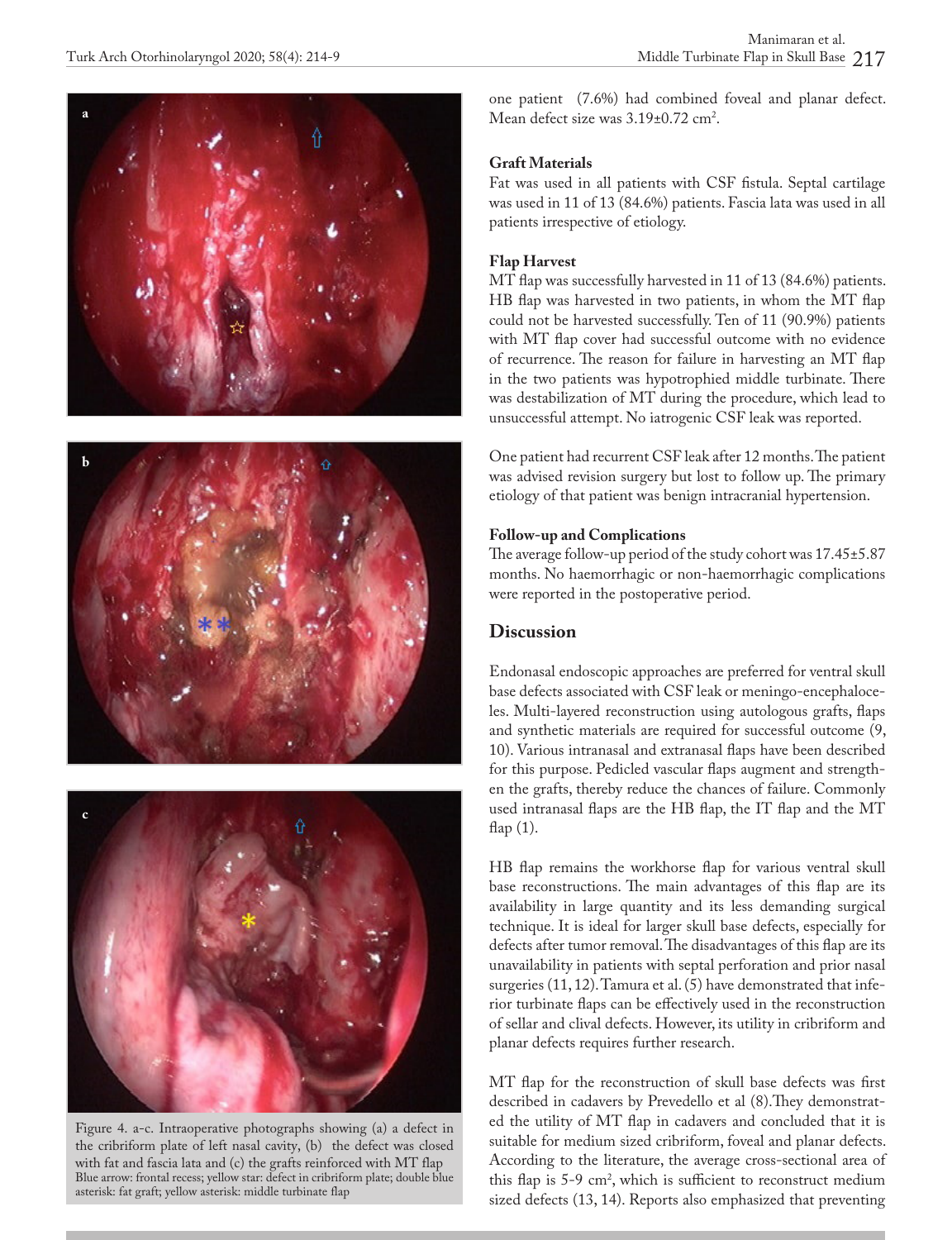





Figure 4. a-c. Intraoperative photographs showing (a) a defect in the cribriform plate of left nasal cavity, (b) the defect was closed with fat and fascia lata and (c) the grafts reinforced with MT flap Blue arrow: frontal recess; yellow star: defect in cribriform plate; double blue asterisk: fat graft; yellow asterisk: middle turbinate flap

one patient (7.6%) had combined foveal and planar defect. Mean defect size was  $3.19\pm0.72$  cm<sup>2</sup>.

### **Graft Materials**

Fat was used in all patients with CSF fistula. Septal cartilage was used in 11 of 13 (84.6%) patients. Fascia lata was used in all patients irrespective of etiology.

### **Flap Harvest**

MT flap was successfully harvested in 11 of 13 (84.6%) patients. HB flap was harvested in two patients, in whom the MT flap could not be harvested successfully. Ten of 11 (90.9%) patients with MT flap cover had successful outcome with no evidence of recurrence. The reason for failure in harvesting an MT flap in the two patients was hypotrophied middle turbinate. There was destabilization of MT during the procedure, which lead to unsuccessful attempt. No iatrogenic CSF leak was reported.

One patient had recurrent CSF leak after 12 months. The patient was advised revision surgery but lost to follow up. The primary etiology of that patient was benign intracranial hypertension.

#### **Follow-up and Complications**

The average follow-up period of the study cohort was 17.45±5.87 months. No haemorrhagic or non-haemorrhagic complications were reported in the postoperative period.

# **Discussion**

Endonasal endoscopic approaches are preferred for ventral skull base defects associated with CSF leak or meningo-encephaloceles. Multi-layered reconstruction using autologous grafts, flaps and synthetic materials are required for successful outcome (9, 10). Various intranasal and extranasal flaps have been described for this purpose. Pedicled vascular flaps augment and strengthen the grafts, thereby reduce the chances of failure. Commonly used intranasal flaps are the HB flap, the IT flap and the MT flap (1).

HB flap remains the workhorse flap for various ventral skull base reconstructions. The main advantages of this flap are its availability in large quantity and its less demanding surgical technique. It is ideal for larger skull base defects, especially for defects after tumor removal. The disadvantages of this flap are its unavailability in patients with septal perforation and prior nasal surgeries (11, 12). Tamura et al. (5) have demonstrated that inferior turbinate flaps can be effectively used in the reconstruction of sellar and clival defects. However, its utility in cribriform and planar defects requires further research.

MT flap for the reconstruction of skull base defects was first described in cadavers by Prevedello et al (8).They demonstrated the utility of MT flap in cadavers and concluded that it is suitable for medium sized cribriform, foveal and planar defects. According to the literature, the average cross-sectional area of this flap is  $5-9$  cm<sup>2</sup>, which is sufficient to reconstruct medium sized defects (13, 14). Reports also emphasized that preventing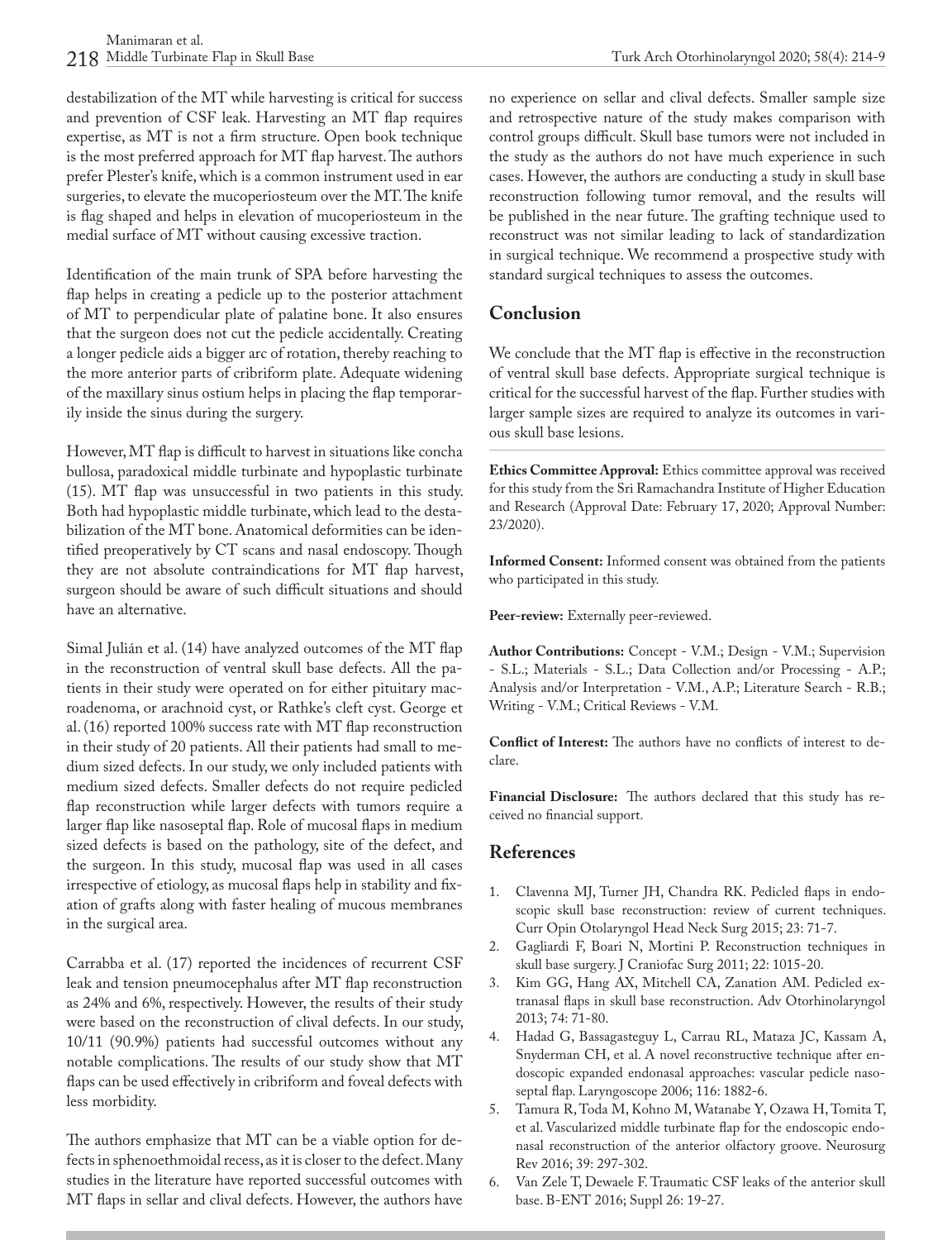destabilization of the MT while harvesting is critical for success and prevention of CSF leak. Harvesting an MT flap requires expertise, as MT is not a firm structure. Open book technique is the most preferred approach for MT flap harvest. The authors prefer Plester's knife, which is a common instrument used in ear surgeries, to elevate the mucoperiosteum over the MT. The knife is flag shaped and helps in elevation of mucoperiosteum in the medial surface of MT without causing excessive traction.

Identification of the main trunk of SPA before harvesting the flap helps in creating a pedicle up to the posterior attachment of MT to perpendicular plate of palatine bone. It also ensures that the surgeon does not cut the pedicle accidentally. Creating a longer pedicle aids a bigger arc of rotation, thereby reaching to the more anterior parts of cribriform plate. Adequate widening of the maxillary sinus ostium helps in placing the flap temporarily inside the sinus during the surgery.

However, MT flap is difficult to harvest in situations like concha bullosa, paradoxical middle turbinate and hypoplastic turbinate (15). MT flap was unsuccessful in two patients in this study. Both had hypoplastic middle turbinate, which lead to the destabilization of the MT bone. Anatomical deformities can be identified preoperatively by CT scans and nasal endoscopy. Though they are not absolute contraindications for MT flap harvest, surgeon should be aware of such difficult situations and should have an alternative.

Simal Julián et al. (14) have analyzed outcomes of the MT flap in the reconstruction of ventral skull base defects. All the patients in their study were operated on for either pituitary macroadenoma, or arachnoid cyst, or Rathke's cleft cyst. George et al. (16) reported 100% success rate with MT flap reconstruction in their study of 20 patients. All their patients had small to medium sized defects. In our study, we only included patients with medium sized defects. Smaller defects do not require pedicled flap reconstruction while larger defects with tumors require a larger flap like nasoseptal flap. Role of mucosal flaps in medium sized defects is based on the pathology, site of the defect, and the surgeon. In this study, mucosal flap was used in all cases irrespective of etiology, as mucosal flaps help in stability and fixation of grafts along with faster healing of mucous membranes in the surgical area.

Carrabba et al. (17) reported the incidences of recurrent CSF leak and tension pneumocephalus after MT flap reconstruction as 24% and 6%, respectively. However, the results of their study were based on the reconstruction of clival defects. In our study, 10/11 (90.9%) patients had successful outcomes without any notable complications. The results of our study show that MT flaps can be used effectively in cribriform and foveal defects with less morbidity.

The authors emphasize that MT can be a viable option for defects in sphenoethmoidal recess, as it is closer to the defect. Many studies in the literature have reported successful outcomes with MT flaps in sellar and clival defects. However, the authors have no experience on sellar and clival defects. Smaller sample size and retrospective nature of the study makes comparison with control groups difficult. Skull base tumors were not included in the study as the authors do not have much experience in such cases. However, the authors are conducting a study in skull base reconstruction following tumor removal, and the results will be published in the near future. The grafting technique used to reconstruct was not similar leading to lack of standardization in surgical technique. We recommend a prospective study with standard surgical techniques to assess the outcomes.

# **Conclusion**

We conclude that the MT flap is effective in the reconstruction of ventral skull base defects. Appropriate surgical technique is critical for the successful harvest of the flap. Further studies with larger sample sizes are required to analyze its outcomes in various skull base lesions.

**Ethics Committee Approval:** Ethics committee approval was received for this study from the Sri Ramachandra Institute of Higher Education and Research (Approval Date: February 17, 2020; Approval Number: 23/2020).

**Informed Consent:** Informed consent was obtained from the patients who participated in this study.

**Peer-review:** Externally peer-reviewed.

**Author Contributions:** Concept - V.M.; Design - V.M.; Supervision - S.L.; Materials - S.L.; Data Collection and/or Processing - A.P.; Analysis and/or Interpretation - V.M., A.P.; Literature Search - R.B.; Writing - V.M.; Critical Reviews - V.M.

**Conflict of Interest:** The authors have no conflicts of interest to declare.

**Financial Disclosure:** The authors declared that this study has received no financial support.

# **References**

- 1. Clavenna MJ, Turner JH, Chandra RK. Pedicled flaps in endoscopic skull base reconstruction: review of current techniques. Curr Opin Otolaryngol Head Neck Surg 2015; 23: 71-7.
- 2. Gagliardi F, Boari N, Mortini P. Reconstruction techniques in skull base surgery. J Craniofac Surg 2011; 22: 1015-20.
- 3. Kim GG, Hang AX, Mitchell CA, Zanation AM. Pedicled extranasal flaps in skull base reconstruction. Adv Otorhinolaryngol 2013; 74: 71-80.
- 4. Hadad G, Bassagasteguy L, Carrau RL, Mataza JC, Kassam A, Snyderman CH, et al. A novel reconstructive technique after endoscopic expanded endonasal approaches: vascular pedicle nasoseptal flap. Laryngoscope 2006; 116: 1882-6.
- 5. Tamura R, Toda M, Kohno M, Watanabe Y, Ozawa H, Tomita T, et al. Vascularized middle turbinate flap for the endoscopic endonasal reconstruction of the anterior olfactory groove. Neurosurg Rev 2016; 39: 297-302.
- 6. Van Zele T, Dewaele F. Traumatic CSF leaks of the anterior skull base. B-ENT 2016; Suppl 26: 19-27.